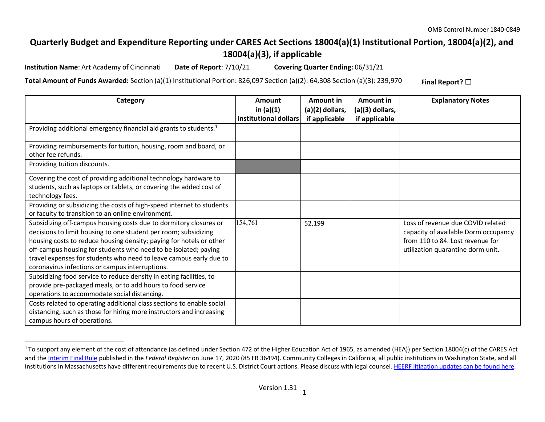## **Quarterly Budget and Expenditure Reporting under CARES Act Sections 18004(a)(1) Institutional Portion, 18004(a)(2), and 18004(a)(3), if applicable**

**Institution Name**: Art Academy of Cincinnati **Date of Report**: 7/10/21 **Covering Quarter Ending:** 06/31/21

**Total Amount of Funds Awarded:** Section (a)(1) Institutional Portion: 826,097 Section (a)(2): 64,308 Section (a)(3): 239,970 **Final Report?** ☐

| Category                                                                                | Amount<br>in $(a)(1)$ | <b>Amount in</b><br>(a)(2) dollars, | Amount in<br>(a)(3) dollars, | <b>Explanatory Notes</b>             |
|-----------------------------------------------------------------------------------------|-----------------------|-------------------------------------|------------------------------|--------------------------------------|
|                                                                                         | institutional dollars | if applicable                       | if applicable                |                                      |
| Providing additional emergency financial aid grants to students. <sup>1</sup>           |                       |                                     |                              |                                      |
| Providing reimbursements for tuition, housing, room and board, or<br>other fee refunds. |                       |                                     |                              |                                      |
| Providing tuition discounts.                                                            |                       |                                     |                              |                                      |
| Covering the cost of providing additional technology hardware to                        |                       |                                     |                              |                                      |
| students, such as laptops or tablets, or covering the added cost of                     |                       |                                     |                              |                                      |
| technology fees.                                                                        |                       |                                     |                              |                                      |
| Providing or subsidizing the costs of high-speed internet to students                   |                       |                                     |                              |                                      |
| or faculty to transition to an online environment.                                      |                       |                                     |                              |                                      |
| Subsidizing off-campus housing costs due to dormitory closures or                       | 154,761               | 52,199                              |                              | Loss of revenue due COVID related    |
| decisions to limit housing to one student per room; subsidizing                         |                       |                                     |                              | capacity of available Dorm occupancy |
| housing costs to reduce housing density; paying for hotels or other                     |                       |                                     |                              | from 110 to 84. Lost revenue for     |
| off-campus housing for students who need to be isolated; paying                         |                       |                                     |                              | utilization quarantine dorm unit.    |
| travel expenses for students who need to leave campus early due to                      |                       |                                     |                              |                                      |
| coronavirus infections or campus interruptions.                                         |                       |                                     |                              |                                      |
| Subsidizing food service to reduce density in eating facilities, to                     |                       |                                     |                              |                                      |
| provide pre-packaged meals, or to add hours to food service                             |                       |                                     |                              |                                      |
| operations to accommodate social distancing.                                            |                       |                                     |                              |                                      |
| Costs related to operating additional class sections to enable social                   |                       |                                     |                              |                                      |
| distancing, such as those for hiring more instructors and increasing                    |                       |                                     |                              |                                      |
| campus hours of operations.                                                             |                       |                                     |                              |                                      |

<sup>&</sup>lt;sup>1</sup> To support any element of the cost of attendance (as defined under Section 472 of the Higher Education Act of 1965, as amended (HEA)) per Section 18004(c) of the CARES Act and the Interim Final Rule published in the *Federal Register* on June 17, 2020 (85 FR 36494). Community Colleges in California, all public institutions in Washington State, and all institutions in Massachusetts have different requirements due to recent U.S. District Court actions. Please discuss with legal counsel. HEERF litigation updates can be found here.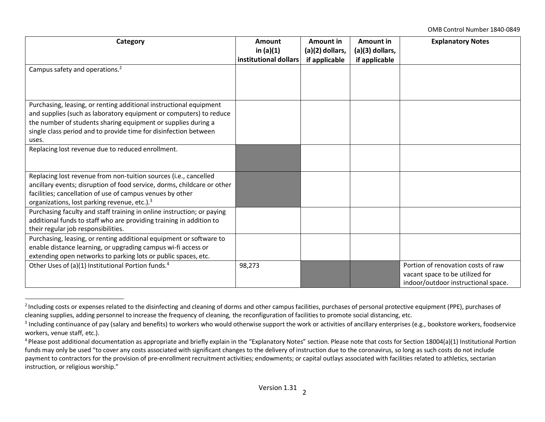OMB Control Number 1840-0849

| Category                                                                                                                                                                                                                                                                               | Amount<br>in $(a)(1)$<br>institutional dollars | Amount in<br>(a)(2) dollars,<br>if applicable | Amount in<br>(a)(3) dollars,<br>if applicable | <b>Explanatory Notes</b>                                                                                     |
|----------------------------------------------------------------------------------------------------------------------------------------------------------------------------------------------------------------------------------------------------------------------------------------|------------------------------------------------|-----------------------------------------------|-----------------------------------------------|--------------------------------------------------------------------------------------------------------------|
| Campus safety and operations. <sup>2</sup>                                                                                                                                                                                                                                             |                                                |                                               |                                               |                                                                                                              |
| Purchasing, leasing, or renting additional instructional equipment<br>and supplies (such as laboratory equipment or computers) to reduce<br>the number of students sharing equipment or supplies during a<br>single class period and to provide time for disinfection between<br>uses. |                                                |                                               |                                               |                                                                                                              |
| Replacing lost revenue due to reduced enrollment.                                                                                                                                                                                                                                      |                                                |                                               |                                               |                                                                                                              |
| Replacing lost revenue from non-tuition sources (i.e., cancelled<br>ancillary events; disruption of food service, dorms, childcare or other<br>facilities; cancellation of use of campus venues by other<br>organizations, lost parking revenue, etc.). <sup>3</sup>                   |                                                |                                               |                                               |                                                                                                              |
| Purchasing faculty and staff training in online instruction; or paying<br>additional funds to staff who are providing training in addition to<br>their regular job responsibilities.                                                                                                   |                                                |                                               |                                               |                                                                                                              |
| Purchasing, leasing, or renting additional equipment or software to<br>enable distance learning, or upgrading campus wi-fi access or<br>extending open networks to parking lots or public spaces, etc.                                                                                 |                                                |                                               |                                               |                                                                                                              |
| Other Uses of (a)(1) Institutional Portion funds. <sup>4</sup>                                                                                                                                                                                                                         | 98,273                                         |                                               |                                               | Portion of renovation costs of raw<br>vacant space to be utilized for<br>indoor/outdoor instructional space. |

<sup>&</sup>lt;sup>2</sup> Including costs or expenses related to the disinfecting and cleaning of dorms and other campus facilities, purchases of personal protective equipment (PPE), purchases of cleaning supplies, adding personnel to increase the frequency of cleaning, the reconfiguration of facilitiesto promote social distancing, etc.

<sup>&</sup>lt;sup>3</sup> Including continuance of pay (salary and benefits) to workers who would otherwise support the work or activities of ancillary enterprises (e.g., bookstore workers, foodservice workers, venue staff, etc.).

<sup>&</sup>lt;sup>4</sup> Please post additional documentation as appropriate and briefly explain in the "Explanatory Notes" section. Please note that costs for Section 18004(a)(1) Institutional Portion funds may only be used "to cover any costs associated with significant changes to the delivery of instruction due to the coronavirus, so long as such costs do not include payment to contractors for the provision of pre-enrollment recruitment activities; endowments; or capital outlays associated with facilities related to athletics, sectarian instruction, or religious worship."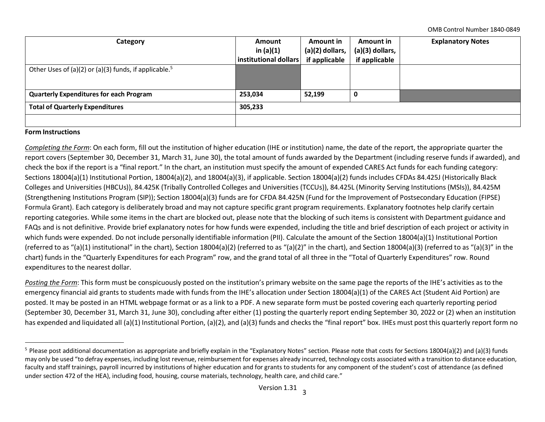OMB Control Number 1840-0849

| Category                                                          | Amount                | Amount in       | Amount in         | <b>Explanatory Notes</b> |  |
|-------------------------------------------------------------------|-----------------------|-----------------|-------------------|--------------------------|--|
|                                                                   | in $(a)(1)$           | (a)(2) dollars, | $(a)(3)$ dollars, |                          |  |
|                                                                   | institutional dollars | if applicable   | if applicable     |                          |  |
| Other Uses of (a)(2) or (a)(3) funds, if applicable. <sup>5</sup> |                       |                 |                   |                          |  |
|                                                                   |                       |                 |                   |                          |  |
|                                                                   |                       |                 |                   |                          |  |
| <b>Quarterly Expenditures for each Program</b>                    | 253,034               | 52,199          |                   |                          |  |
| <b>Total of Quarterly Expenditures</b>                            | 305,233               |                 |                   |                          |  |
|                                                                   |                       |                 |                   |                          |  |

## **Form Instructions**

*Completing the Form*: On each form, fill out the institution of higher education (IHE or institution) name, the date of the report, the appropriate quarter the report covers (September 30, December 31, March 31, June 30), the total amount of funds awarded by the Department (including reserve funds if awarded), and check the box if the report is a "final report." In the chart, an institution must specify the amount of expended CARES Act funds for each funding category: Sections 18004(a)(1) Institutional Portion, 18004(a)(2), and 18004(a)(3), if applicable. Section 18004(a)(2) funds includes CFDAs 84.425J (Historically Black Colleges and Universities (HBCUs)), 84.425K (Tribally Controlled Colleges and Universities (TCCUs)), 84.425L (Minority Serving Institutions (MSIs)), 84.425M (Strengthening Institutions Program (SIP)); Section 18004(a)(3) funds are for CFDA 84.425N (Fund for the Improvement of Postsecondary Education (FIPSE) Formula Grant). Each category is deliberately broad and may not capture specific grant program requirements. Explanatory footnotes help clarify certain reporting categories. While some items in the chart are blocked out, please note that the blocking of such items is consistent with Department guidance and FAQs and is not definitive. Provide brief explanatory notes for how funds were expended, including the title and brief description of each project or activity in which funds were expended. Do not include personally identifiable information (PII). Calculate the amount of the Section 18004(a)(1) Institutional Portion (referred to as "(a)(1) institutional" in the chart), Section 18004(a)(2) (referred to as "(a)(2)" in the chart), and Section 18004(a)(3) (referred to as "(a)(3)" in the chart) funds in the "Quarterly Expenditures for each Program" row, and the grand total of all three in the "Total of Quarterly Expenditures" row. Round expenditures to the nearest dollar.

*Posting the Form*: This form must be conspicuously posted on the institution's primary website on the same page the reports of the IHE's activities as to the emergency financial aid grants to students made with funds from the IHE's allocation under Section 18004(a)(1) of the CARES Act (Student Aid Portion) are posted. It may be posted in an HTML webpage format or as a link to a PDF. A new separate form must be posted covering each quarterly reporting period (September 30, December 31, March 31, June 30), concluding after either (1) posting the quarterly report ending September 30, 2022 or (2) when an institution has expended and liquidated all (a)(1) Institutional Portion, (a)(2), and (a)(3) funds and checks the "final report" box. IHEs must post this quarterly report form no

<sup>&</sup>lt;sup>5</sup> Please post additional documentation as appropriate and briefly explain in the "Explanatory Notes" section. Please note that costs for Sections 18004(a)(2) and (a)(3) funds may only be used "to defray expenses, including lost revenue, reimbursement for expenses already incurred, technology costs associated with a transition to distance education, faculty and staff trainings, payroll incurred by institutions of higher education and for grants to students for any component of the student's cost of attendance (as defined under section 472 of the HEA), including food, housing, course materials, technology, health care, and child care."